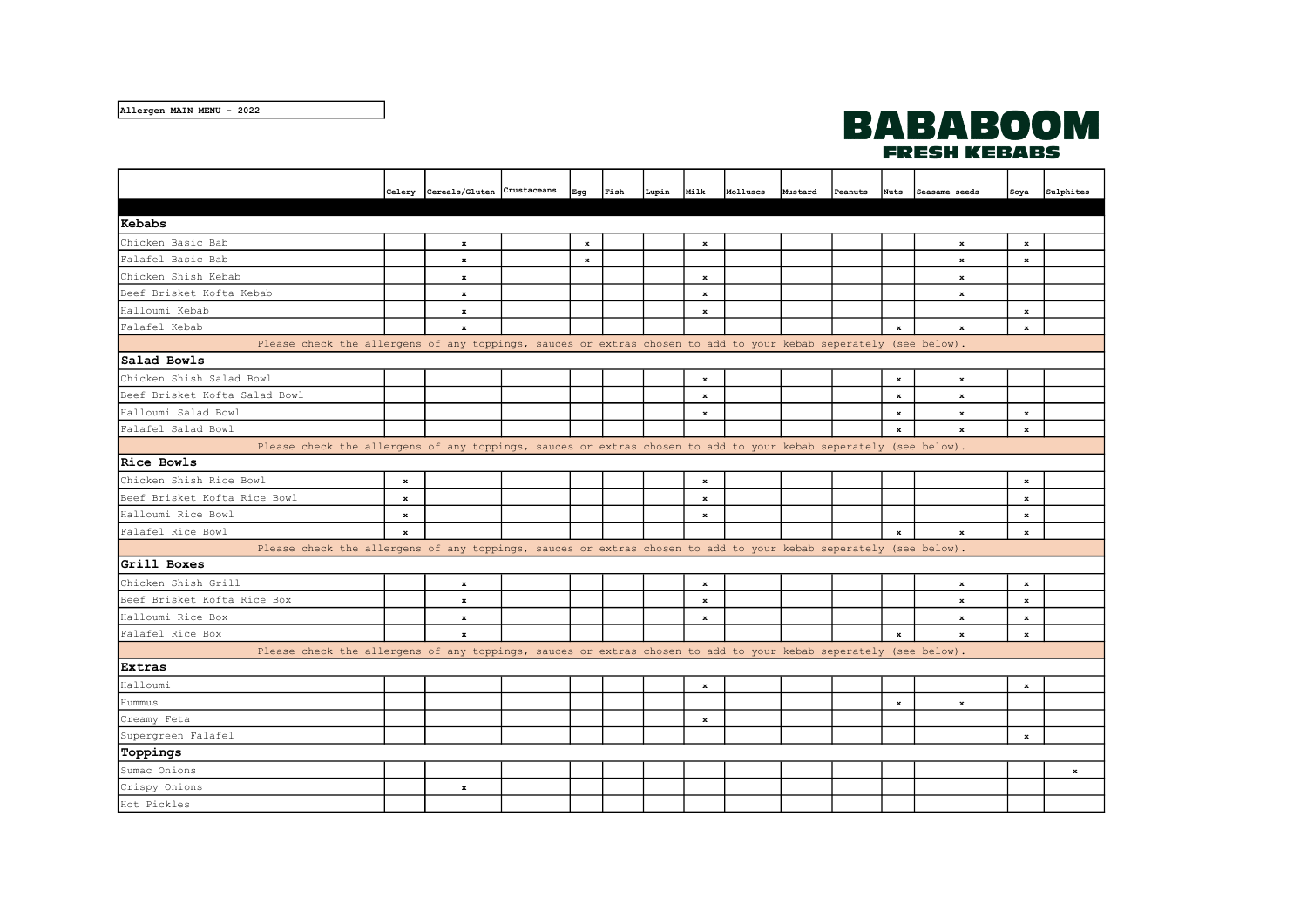## **BABABOOM FRESH KEBABS**

|                                                                                                                  |             | Celery Cereals/Gluten Crustaceans | Egg     | Fish | Lupin | Milk    | Molluscs | Mustard | Peanuts | <b>Nuts</b> | Seasame seeds | Soya        | Sulphites |
|------------------------------------------------------------------------------------------------------------------|-------------|-----------------------------------|---------|------|-------|---------|----------|---------|---------|-------------|---------------|-------------|-----------|
|                                                                                                                  |             |                                   |         |      |       |         |          |         |         |             |               |             |           |
| Kebabs                                                                                                           |             |                                   |         |      |       |         |          |         |         |             |               |             |           |
| Chicken Basic Bab                                                                                                |             | $\bf x$                           | $\bf x$ |      |       | $\bf x$ |          |         |         |             | $\bf x$       | $\bf x$     |           |
| Falafel Basic Bab                                                                                                |             | $\bf x$                           | $\bf x$ |      |       |         |          |         |         |             | $\bf x$       | $\bf x$     |           |
| Chicken Shish Kebab                                                                                              |             | $\bf x$                           |         |      |       | $\bf x$ |          |         |         |             | $\bf x$       |             |           |
| Beef Brisket Kofta Kebab                                                                                         |             | $\mathbf x$                       |         |      |       | $\bf x$ |          |         |         |             | $\bf x$       |             |           |
| Halloumi Kebab                                                                                                   |             | $\mathbf x$                       |         |      |       | $\bf x$ |          |         |         |             |               | $\mathbf x$ |           |
| Falafel Kebab                                                                                                    |             | $\mathbf x$                       |         |      |       |         |          |         |         | $\bf x$     | $\bf x$       | $\bf x$     |           |
| Please check the allergens of any toppings, sauces or extras chosen to add to your kebab seperately (see below). |             |                                   |         |      |       |         |          |         |         |             |               |             |           |
| Salad Bowls                                                                                                      |             |                                   |         |      |       |         |          |         |         |             |               |             |           |
| Chicken Shish Salad Bowl                                                                                         |             |                                   |         |      |       | $\bf x$ |          |         |         | $\bf x$     | $\bf x$       |             |           |
| Beef Brisket Kofta Salad Bowl                                                                                    |             |                                   |         |      |       | $\bf x$ |          |         |         | $\bf x$     | $\mathbf x$   |             |           |
| Halloumi Salad Bowl                                                                                              |             |                                   |         |      |       | $\bf x$ |          |         |         | $\bf x$     | $\bf x$       | $\bf x$     |           |
| Falafel Salad Bowl                                                                                               |             |                                   |         |      |       |         |          |         |         | $\bf x$     | $\bf x$       | $\bf x$     |           |
| Please check the allergens of any toppings, sauces or extras chosen to add to your kebab seperately (see below). |             |                                   |         |      |       |         |          |         |         |             |               |             |           |
| Rice Bowls                                                                                                       |             |                                   |         |      |       |         |          |         |         |             |               |             |           |
| Chicken Shish Rice Bowl                                                                                          | $\mathbf x$ |                                   |         |      |       | $\bf x$ |          |         |         |             |               | $\bf x$     |           |
| Beef Brisket Kofta Rice Bowl                                                                                     | $\mathbf x$ |                                   |         |      |       | $\bf x$ |          |         |         |             |               | $\bf x$     |           |
| Halloumi Rice Bowl                                                                                               | $\mathbf x$ |                                   |         |      |       | ж       |          |         |         |             |               | $\bf x$     |           |
| Falafel Rice Bowl                                                                                                | $\mathbf x$ |                                   |         |      |       |         |          |         |         | $\bf x$     | $\bf x$       | $\bf x$     |           |
| Please check the allergens of any toppings, sauces or extras chosen to add to your kebab seperately (see below). |             |                                   |         |      |       |         |          |         |         |             |               |             |           |
| Grill Boxes                                                                                                      |             |                                   |         |      |       |         |          |         |         |             |               |             |           |
| Chicken Shish Grill                                                                                              |             | $\mathbf x$                       |         |      |       | $\bf x$ |          |         |         |             | $\bf x$       | $\bf x$     |           |
| Beef Brisket Kofta Rice Box                                                                                      |             | $\bf x$                           |         |      |       | $\bf x$ |          |         |         |             | $\bf x$       | $\bf x$     |           |
| Halloumi Rice Box                                                                                                |             | $\bf x$                           |         |      |       | $\bf x$ |          |         |         |             | x             | $\bf x$     |           |
| Falafel Rice Box                                                                                                 |             | ж                                 |         |      |       |         |          |         |         | $\bf x$     | $\bf x$       | $\mathbf x$ |           |
| Please check the allergens of any toppings, sauces or extras chosen to add to your kebab seperately (see below). |             |                                   |         |      |       |         |          |         |         |             |               |             |           |
| Extras                                                                                                           |             |                                   |         |      |       |         |          |         |         |             |               |             |           |
| Halloumi                                                                                                         |             |                                   |         |      |       | $\bf x$ |          |         |         |             |               | $\bf x$     |           |
| Hummus                                                                                                           |             |                                   |         |      |       |         |          |         |         | $\bf x$     | $\bf x$       |             |           |
| Creamy Feta                                                                                                      |             |                                   |         |      |       | $\bf x$ |          |         |         |             |               |             |           |
| Supergreen Falafel                                                                                               |             |                                   |         |      |       |         |          |         |         |             |               | $\bf x$     |           |
| Toppings                                                                                                         |             |                                   |         |      |       |         |          |         |         |             |               |             |           |
| Sumac Onions                                                                                                     |             |                                   |         |      |       |         |          |         |         |             |               |             | $\bf x$   |
| Crispy Onions                                                                                                    |             | $\bf x$                           |         |      |       |         |          |         |         |             |               |             |           |
| Hot Pickles                                                                                                      |             |                                   |         |      |       |         |          |         |         |             |               |             |           |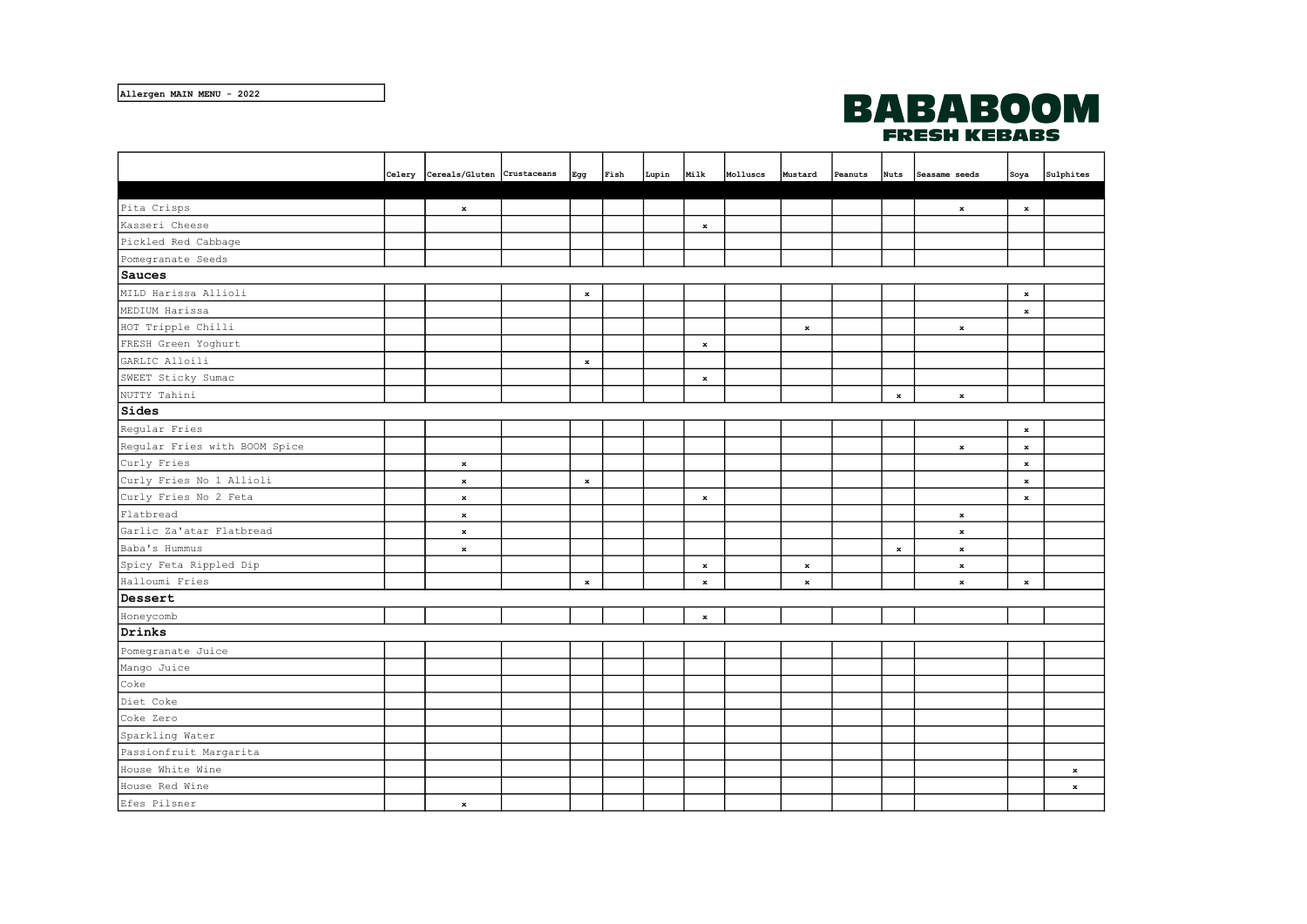Allergen MAIN MENU - 2022



|                               | Celery Cereals/Gluten Crustaceans | Egg         | Fish | Lupin | Milk         | Molluscs | Mustard     | Peanuts |         | Nuts Seasame seeds | Soya        | Sulphites    |
|-------------------------------|-----------------------------------|-------------|------|-------|--------------|----------|-------------|---------|---------|--------------------|-------------|--------------|
|                               |                                   |             |      |       |              |          |             |         |         |                    |             |              |
| Pita Crisps                   | $\mathbf x$                       |             |      |       |              |          |             |         |         | $\bf x$            | $\bf x$     |              |
| Kasseri Cheese                |                                   |             |      |       | $\bf x$      |          |             |         |         |                    |             |              |
| Pickled Red Cabbage           |                                   |             |      |       |              |          |             |         |         |                    |             |              |
| Pomegranate Seeds             |                                   |             |      |       |              |          |             |         |         |                    |             |              |
| Sauces                        |                                   |             |      |       |              |          |             |         |         |                    |             |              |
| MILD Harissa Allioli          |                                   | $\mathbf x$ |      |       |              |          |             |         |         |                    | $\mathbf x$ |              |
| MEDIUM Harissa                |                                   |             |      |       |              |          |             |         |         |                    | $\mathbf x$ |              |
| HOT Tripple Chilli            |                                   |             |      |       |              |          | $\bf x$     |         |         | $\bf x$            |             |              |
| FRESH Green Yoghurt           |                                   |             |      |       | $\bf x$      |          |             |         |         |                    |             |              |
| GARLIC Alloili                |                                   | $\mathbf x$ |      |       |              |          |             |         |         |                    |             |              |
| SWEET Sticky Sumac            |                                   |             |      |       | $\bf x$      |          |             |         |         |                    |             |              |
| NUTTY Tahini                  |                                   |             |      |       |              |          |             |         | $\bf x$ | $\bf x$            |             |              |
| Sides                         |                                   |             |      |       |              |          |             |         |         |                    |             |              |
| Regular Fries                 |                                   |             |      |       |              |          |             |         |         |                    | $\bf x$     |              |
| Regular Fries with BOOM Spice |                                   |             |      |       |              |          |             |         |         | $\bf x$            | $\mathbf x$ |              |
| Curly Fries                   | $\mathbf x$                       |             |      |       |              |          |             |         |         |                    | $\mathbf x$ |              |
| Curly Fries No 1 Allioli      | $\bf x$                           | $\mathbf x$ |      |       |              |          |             |         |         |                    | $\mathbf x$ |              |
| Curly Fries No 2 Feta         | $\bf x$                           |             |      |       | $\mathbf{x}$ |          |             |         |         |                    | $\mathbf x$ |              |
| Flatbread                     | $\bf x$                           |             |      |       |              |          |             |         |         | $\mathbf{x}$       |             |              |
| Garlic Za'atar Flatbread      | $\bf x$                           |             |      |       |              |          |             |         |         | $\bf x$            |             |              |
| Baba's Hummus                 | $\bf x$                           |             |      |       |              |          |             |         | $\bf x$ | $\bf x$            |             |              |
| Spicy Feta Rippled Dip        |                                   |             |      |       | $\bf x$      |          | $\mathbf x$ |         |         | $\bf x$            |             |              |
| Halloumi Fries                |                                   | $\bf x$     |      |       | $\bf x$      |          | $\bf x$     |         |         | $\bf x$            | $\mathbf x$ |              |
| Dessert                       |                                   |             |      |       |              |          |             |         |         |                    |             |              |
| Honeycomb                     |                                   |             |      |       | $\bf x$      |          |             |         |         |                    |             |              |
| Drinks                        |                                   |             |      |       |              |          |             |         |         |                    |             |              |
| Pomegranate Juice             |                                   |             |      |       |              |          |             |         |         |                    |             |              |
| Mango Juice                   |                                   |             |      |       |              |          |             |         |         |                    |             |              |
| Coke                          |                                   |             |      |       |              |          |             |         |         |                    |             |              |
| Diet Coke                     |                                   |             |      |       |              |          |             |         |         |                    |             |              |
| Coke Zero                     |                                   |             |      |       |              |          |             |         |         |                    |             |              |
| Sparkling Water               |                                   |             |      |       |              |          |             |         |         |                    |             |              |
| Passionfruit Margarita        |                                   |             |      |       |              |          |             |         |         |                    |             |              |
| House White Wine              |                                   |             |      |       |              |          |             |         |         |                    |             | $\mathbf{x}$ |
| House Red Wine                |                                   |             |      |       |              |          |             |         |         |                    |             | $\mathbf{x}$ |
| Efes Pilsner                  | $\mathbf{x}$                      |             |      |       |              |          |             |         |         |                    |             |              |